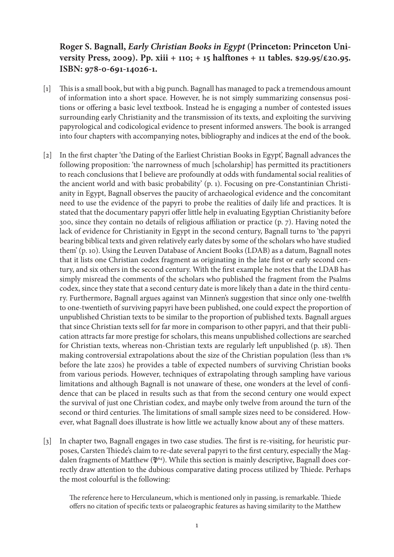## **Roger S. Bagnall,** *Early Christian Books in Egypt* **(Princeton: Princeton University Press, 2009). Pp. xiii + 110; + 15 halftones + 11 tables. \$29.95/£20.95. ISBN: 978-0-691-14026-1.**

- [1] This is a small book, but with a big punch. Bagnall has managed to pack a tremendous amount of information into a short space. However, he is not simply summarizing consensus positions or offering a basic level textbook. Instead he is engaging a number of contested issues surrounding early Christianity and the transmission of its texts, and exploiting the surviving papyrological and codicological evidence to present informed answers. The book is arranged into four chapters with accompanying notes, bibliography and indices at the end of the book.
- [2] In the first chapter 'the Dating of the Earliest Christian Books in Egypt', Bagnall advances the following proposition: 'the narrowness of much [scholarship] has permitted its practitioners to reach conclusions that I believe are profoundly at odds with fundamental social realities of the ancient world and with basic probability' (p. 1). Focusing on pre-Constantinian Christianity in Egypt, Bagnall observes the paucity of archaeological evidence and the concomitant need to use the evidence of the papyri to probe the realities of daily life and practices. It is stated that the documentary papyri offer little help in evaluating Egyptian Christianity before 300, since they contain no details of religious affiliation or practice (p. 7). Having noted the lack of evidence for Christianity in Egypt in the second century, Bagnall turns to 'the papyri bearing biblical texts and given relatively early dates by some of the scholars who have studied them' (p. 10). Using the Leuven Database of Ancient Books (LDAB) as a datum, Bagnall notes that it lists one Christian codex fragment as originating in the late first or early second century, and six others in the second century. With the first example he notes that the LDAB has simply misread the comments of the scholars who published the fragment from the Psalms codex, since they state that a second century date is more likely than a date in the third century. Furthermore, Bagnall argues against van Minnen's suggestion that since only one-twelfth to one-twentieth of surviving papyri have been published, one could expect the proportion of unpublished Christian texts to be similar to the proportion of published texts. Bagnall argues that since Christian texts sell for far more in comparison to other papyri, and that their publication attracts far more prestige for scholars, this means unpublished collections are searched for Christian texts, whereas non-Christian texts are regularly left unpublished (p. 18). Then making controversial extrapolations about the size of the Christian population (less than 1% before the late 220s) he provides a table of expected numbers of surviving Christian books from various periods. However, techniques of extrapolating through sampling have various limitations and although Bagnall is not unaware of these, one wonders at the level of confidence that can be placed in results such as that from the second century one would expect the survival of just one Christian codex, and maybe only twelve from around the turn of the second or third centuries. The limitations of small sample sizes need to be considered. However, what Bagnall does illustrate is how little we actually know about any of these matters.
- [3] In chapter two, Bagnall engages in two case studies. The first is re-visiting, for heuristic purposes, Carsten Thiede's claim to re-date several papyri to the first century, especially the Magdalen fragments of Matthew ( $\mathfrak{P}^{64}$ ). While this section is mainly descriptive, Bagnall does correctly draw attention to the dubious comparative dating process utilized by Thiede. Perhaps the most colourful is the following:

The reference here to Herculaneum, which is mentioned only in passing, is remarkable. Thiede offers no citation of specific texts or palaeographic features as having similarity to the Matthew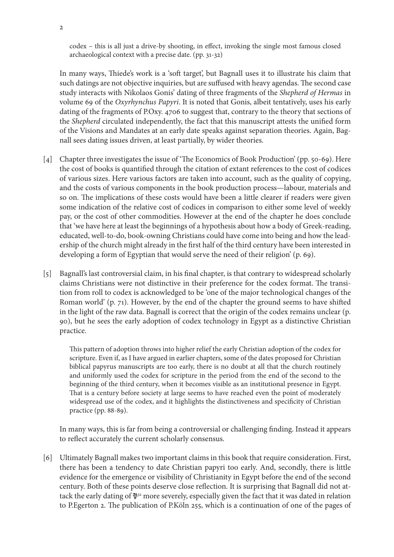codex – this is all just a drive-by shooting, in effect, invoking the single most famous closed archaeological context with a precise date. (pp. 31-32)

In many ways, Thiede's work is a 'soft target', but Bagnall uses it to illustrate his claim that such datings are not objective inquiries, but are suffused with heavy agendas. The second case study interacts with Nikolaos Gonis' dating of three fragments of the *Shepherd of Hermas* in volume 69 of the *Oxyrhynchus Papyri*. It is noted that Gonis, albeit tentatively, uses his early dating of the fragments of P.Oxy. 4706 to suggest that, contrary to the theory that sections of the *Shepherd* circulated independently, the fact that this manuscript attests the unified form of the Visions and Mandates at an early date speaks against separation theories. Again, Bagnall sees dating issues driven, at least partially, by wider theories.

- [4] Chapter three investigates the issue of 'The Economics of Book Production' (pp. 50-69). Here the cost of books is quantified through the citation of extant references to the cost of codices of various sizes. Here various factors are taken into account, such as the quality of copying, and the costs of various components in the book production process—labour, materials and so on. The implications of these costs would have been a little clearer if readers were given some indication of the relative cost of codices in comparison to either some level of weekly pay, or the cost of other commodities. However at the end of the chapter he does conclude that 'we have here at least the beginnings of a hypothesis about how a body of Greek-reading, educated, well-to-do, book-owning Christians could have come into being and how the leadership of the church might already in the first half of the third century have been interested in developing a form of Egyptian that would serve the need of their religion' (p. 69).
- [5] Bagnall's last controversial claim, in his final chapter, is that contrary to widespread scholarly claims Christians were not distinctive in their preference for the codex format. The transition from roll to codex is acknowledged to be 'one of the major technological changes of the Roman world' (p. 71). However, by the end of the chapter the ground seems to have shifted in the light of the raw data. Bagnall is correct that the origin of the codex remains unclear (p. 90), but he sees the early adoption of codex technology in Egypt as a distinctive Christian practice.

This pattern of adoption throws into higher relief the early Christian adoption of the codex for scripture. Even if, as I have argued in earlier chapters, some of the dates proposed for Christian biblical papyrus manuscripts are too early, there is no doubt at all that the church routinely and uniformly used the codex for scripture in the period from the end of the second to the beginning of the third century, when it becomes visible as an institutional presence in Egypt. That is a century before society at large seems to have reached even the point of moderately widespread use of the codex, and it highlights the distinctiveness and specificity of Christian practice (pp. 88-89).

In many ways, this is far from being a controversial or challenging finding. Instead it appears to reflect accurately the current scholarly consensus.

[6] Ultimately Bagnall makes two important claims in this book that require consideration. First, there has been a tendency to date Christian papyri too early. And, secondly, there is little evidence for the emergence or visibility of Christianity in Egypt before the end of the second century. Both of these points deserve close reflection. It is surprising that Bagnall did not attack the early dating of  $\mathfrak{P}^{52}$  more severely, especially given the fact that it was dated in relation to P.Egerton 2. The publication of P.Köln 255, which is a continuation of one of the pages of